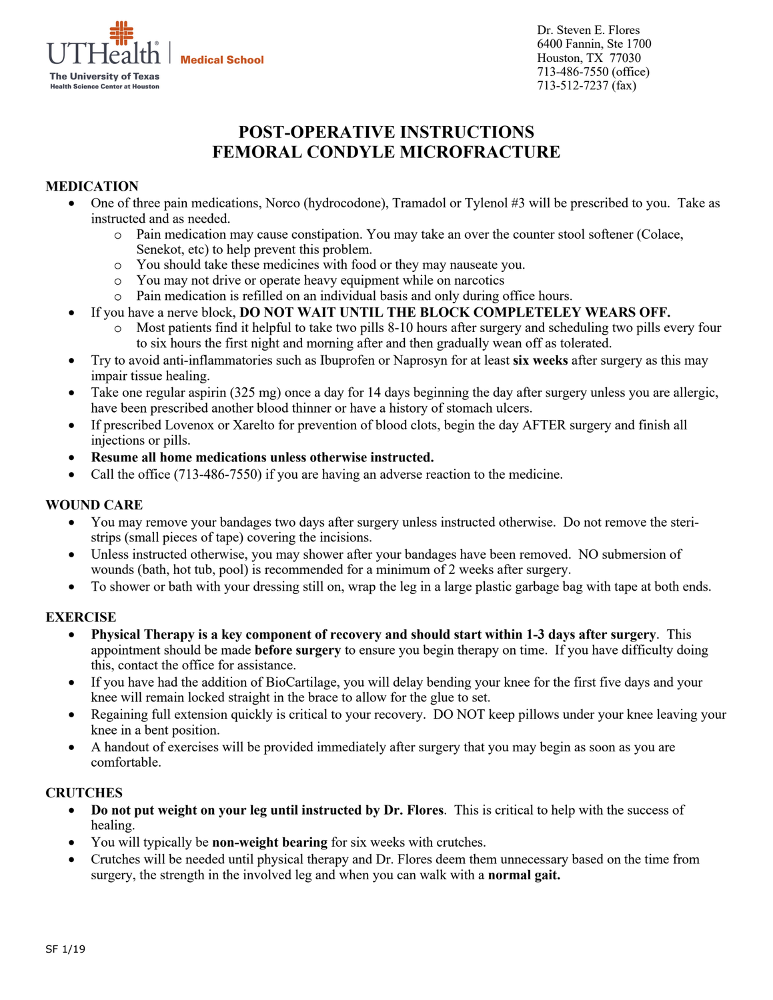

Dr. Steven E. Flores 6400 Fannin, Ste 1700 Houston, TX 77030 713-486-7550 (office) 713-512-7237 (fax)

# **POST-OPERATIVE INSTRUCTIONS FEMORAL CONDYLE MICROFRACTURE**

# **MEDICATION**

- One of three pain medications, Norco (hydrocodone), Tramadol or Tylenol #3 will be prescribed to you. Take as instructed and as needed.
	- o Pain medication may cause constipation. You may take an over the counter stool softener (Colace, Senekot, etc) to help prevent this problem.
	- o You should take these medicines with food or they may nauseate you.
	- o You may not drive or operate heavy equipment while on narcotics
	- o Pain medication is refilled on an individual basis and only during office hours.
- If you have a nerve block, **DO NOT WAIT UNTIL THE BLOCK COMPLETELEY WEARS OFF.** 
	- o Most patients find it helpful to take two pills 8-10 hours after surgery and scheduling two pills every four to six hours the first night and morning after and then gradually wean off as tolerated.
- Try to avoid anti-inflammatories such as Ibuprofen or Naprosyn for at least **six weeks** after surgery as this may impair tissue healing.
- Take one regular aspirin (325 mg) once a day for 14 days beginning the day after surgery unless you are allergic, have been prescribed another blood thinner or have a history of stomach ulcers.
- If prescribed Lovenox or Xarelto for prevention of blood clots, begin the day AFTER surgery and finish all injections or pills.
- **Resume all home medications unless otherwise instructed.**
- Call the office (713-486-7550) if you are having an adverse reaction to the medicine.

## **WOUND CARE**

- You may remove your bandages two days after surgery unless instructed otherwise. Do not remove the steristrips (small pieces of tape) covering the incisions.
- Unless instructed otherwise, you may shower after your bandages have been removed. NO submersion of wounds (bath, hot tub, pool) is recommended for a minimum of 2 weeks after surgery.
- To shower or bath with your dressing still on, wrap the leg in a large plastic garbage bag with tape at both ends.

# **EXERCISE**

- **Physical Therapy is a key component of recovery and should start within 1-3 days after surgery**. This appointment should be made **before surgery** to ensure you begin therapy on time. If you have difficulty doing this, contact the office for assistance.
- If you have had the addition of BioCartilage, you will delay bending your knee for the first five days and your knee will remain locked straight in the brace to allow for the glue to set.
- Regaining full extension quickly is critical to your recovery. DO NOT keep pillows under your knee leaving your knee in a bent position.
- A handout of exercises will be provided immediately after surgery that you may begin as soon as you are comfortable.

#### **CRUTCHES**

- **Do not put weight on your leg until instructed by Dr. Flores**. This is critical to help with the success of healing.
- You will typically be **non-weight bearing** for six weeks with crutches.
- Crutches will be needed until physical therapy and Dr. Flores deem them unnecessary based on the time from surgery, the strength in the involved leg and when you can walk with a **normal gait.**